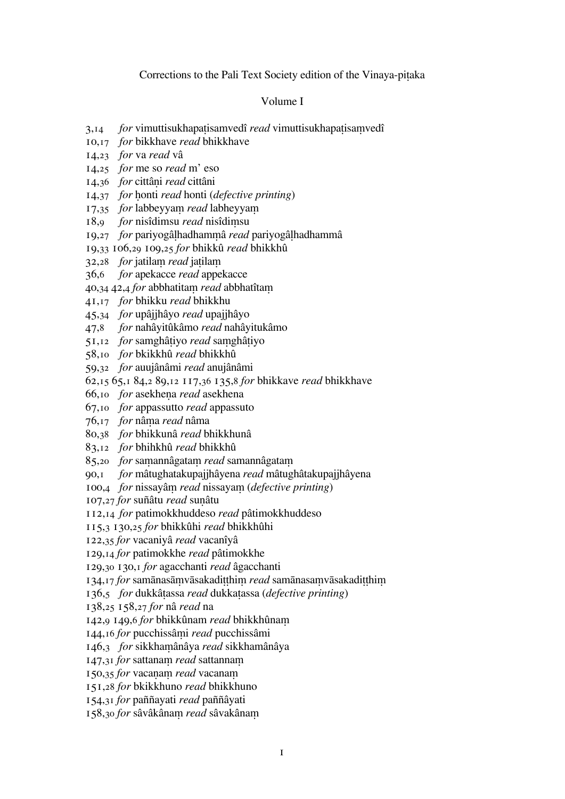## Corrections to the Pali Text Society edition of the Vinaya-pitaka

### Volume I

- 3,14 *for* vimuttisukhapatisamvedî *read* vimuttisukhapatisamvedî
- ,17 *for* bikkhave *read* bhikkhave
- ,23 *for* va *read* vâ
- ,25 *for* me so *read* m' eso
- 14,36 *for* cittâni *read* cittâni
- 14,37 *for* honti *read* honti (*defective printing*)
- 17,35 *for* labbeyyam *read* labheyyam
- 18,9 *for* nisîdimsu *read* nisîdimsu
- ,27 *for* pariyogâhadhamâ *read* pariyogâhadhammâ
- ,33 106,29 109,25 *for* bhikkû *read* bhikkhû
- 32,28 *for* jatilam *read* jatilam
- ,6 *for* apekacce *read* appekacce
- 40,34 42,4 *for* abbhatitam *read* abbhatîtam
- ,17 *for* bhikku *read* bhikkhu
- ,34 *for* upâjjhâyo *read* upajjhâyo
- ,8 *for* nahâyitûkâmo *read* nahâyitukâmo
- ,12 *for* samghâiyo *read* saghâiyo
- ,10 *for* bkikkhû *read* bhikkhû
- ,32 *for* auujânâmi *read* anujânâmi
- ,15 65,1 84,2 89,12 117,36 135,8 *for* bhikkave *read* bhikkhave
- ,10 *for* asekhea *read* asekhena
- ,10 *for* appassutto *read* appassuto
- ,17 *for* nâa *read* nâma
- ,38 *for* bhikkunâ *read* bhikkhunâ
- ,12 *for* bhihkhû *read* bhikkhû
- 85,20 *for* samannâgatam *read* samannâgatam
- ,1 *for* mâtughatakupajjhâyena *read* mâtughâtakupajjhâyena
- 100,4 *for* nissayâm *read* nissayam (*defective printing*)
- ,27 *for* suñâtu *read* suâtu
- ,14 *for* patimokkhuddeso *read* pâtimokkhuddeso
- ,3 130,25 *for* bhikkûhi *read* bhikkhûhi
- ,35 *for* vacaniyâ *read* vacanîyâ
- ,14 *for* patimokkhe *read* pâtimokkhe
- ,30 130,1 *for* agacchanti *read* âgacchanti
- 134,17 *for* samānasāmvāsakadit him *read* samānasamvāsakadit him
- ,5 *for* dukkâassa *read* dukkaassa (*defective printing*)
- ,25 158,27 *for* nâ *read* na
- ,9 149,6 *for* bhikkûnam *read* bhikkhûna
- ,16 *for* pucchissâi *read* pucchissâmi
- ,3 *for* sikkhaânâya *read* sikkhamânâya
- 147,31 *for* sattanam *read* sattannam
- 150,35 *for* vacanam *read* vacanam
- ,28 *for* bkikkhuno *read* bhikkhuno
- ,31 *for* paññayati *read* paññâyati
- 158,30 *for* sâvâkânam *read* sâvakânam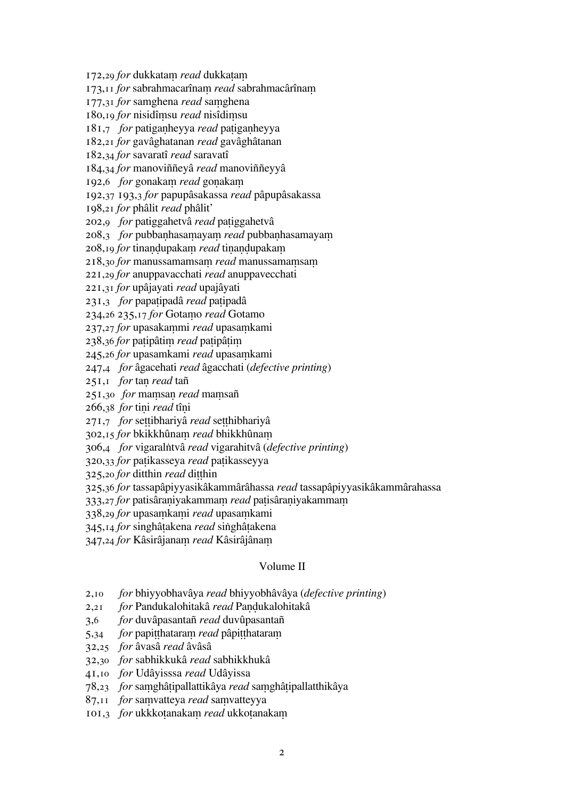172,29 *for* dukkatam *read* dukkatam

173,11 *for* sabrahmacarînam *read* sabrahmacârînam

177,31 *for* samghena *read* samghena

180,19 *for* nisidîmsu *read* nisîdimsu

181,7 *for* patigaheyya *read* paigaheyya

182,21 *for* gavâghatanan *read* gavâghâtanan

182,34 *for* savaratî *read* saravatî

184,34 *for* manoviññeyâ *read* manoviññeyyâ

192,6 *for* gonakam *read* gonakam

192,37 193,3 *for* papupâsakassa *read* pâpupâsakassa

198,21 *for* phâlit *read* phâlit'

202,9 *for* patiggahetvâ *read* paiggahetvâ

208,3 *for* pubbanhasamayam *read* pubbanhasamayam

208,19 *for* tinandupakam *read* tinandupakam

218,30 *for* manussamamsam *read* manussamamsam

221,29 *for* anuppavacchati *read* anuppavecchati

221,31 *for* upâjayati *read* upajâyati

231,3 *for* papaipadâ *read* paipadâ

234,26 235,17 *for* Gotamo *read* Gotamo

237,27 *for* upasakammi *read* upasamkami

238,36 *for* patipâtim *read* patipâtim

245,26 *for* upasamkami *read* upasamkami

247,4 *for* âgacehati *read* âgacchati (*defective printing*)

251,1 *for* tan *read* tañ

251,30 *for* mamsan *read* mamsañ

266,38 *for* tini *read* tîni

271,7 *for* seibhariyâ *read* sehibhariyâ

302,15 *for* bkikkhûnam *read* bhikkhûnam

306,4 *for* vigaraltvâ *read* vigarahitvâ (*defective printing*)

320,33 *for* paikasseya *read* paikasseyya

325,20 *for* ditthin *read* ditthin

325,36 *for* tassapâpiyyasikâkammârâhassa *read* tassapâpiyyasikâkammârahassa

333,27 *for* patisâraniyakammam *read* patisâraniyakammam

338,29 *for* upasamkami *read* upasamkami

345,14 *for* singhâakena *read* sighâakena

347,24 *for* Kâsirâjanam *read* Kâsirâjânam

### Volume II

- 2,10 *for* bhiyyobhavâya *read* bhiyyobhâvâya (*defective printing*)
- 2,21 *for* Pandukalohitakâ *read* Paukalohitakâ
- 3,6 *for* duvâpasantañ *read* duvûpasantañ
- 5,34 *for* papit that aram *read* pâpit that aram
- 32,25 *for* âvasâ *read* âvâsâ
- 32,30 *for* sabhikkukâ *read* sabhikkhukâ
- 41,10 *for* Udâyisssa *read* Udâyissa
- 78,23 *for* saghâipallattikâya *read* saghâipallatthikâya
- 87,11 *for* samvatteya *read* samvatteyya
- 101,3 *for* ukkkotanakam *read* ukkotanakam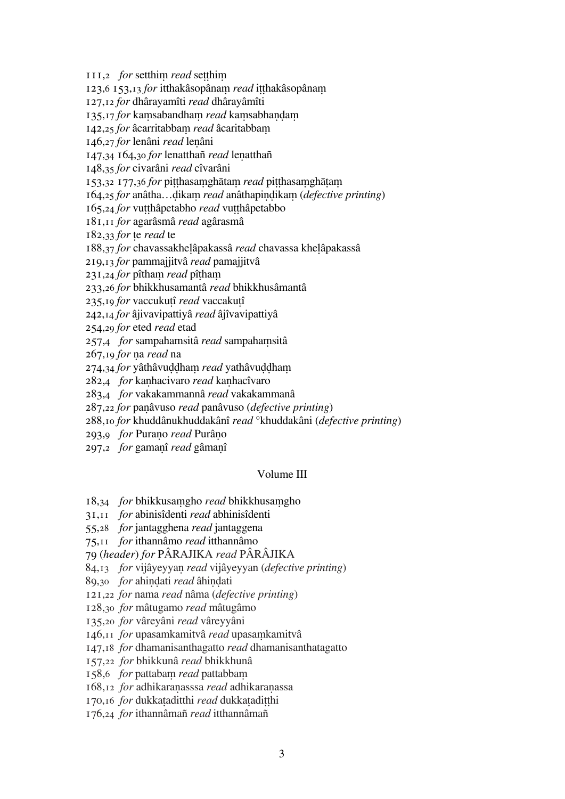111,2 *for* setthim *read* setthim

123,6 153,13 *for* itthakâsopânam *read* itthakâsopânam

,12 *for* dhârayamîti *read* dhârayâmîti

135,17 *for* kamsabandham *read* kamsabhandam

142,25 *for* âcarritabbam *read* âcaritabbam

,27 *for* lenâni *read* leâni

,34 164,30 *for* lenatthañ *read* leatthañ

,35 *for* civarâni *read* cîvarâni

153,32 177,36 for pitthasamghātam read pitthasamghātam

164,25 *for* anâtha...dikam *read* anâthapindikam (*defective printing*)

,24 *for* vuhâpetabho *read* vuhâpetabbo

,11 *for* agarâsmâ *read* agârasmâ

182,33 *for* te *read* te

,37 *for* chavassakheâpakassâ *read* chavassa kheâpakassâ

,13 *for* pammajjitvâ *read* pamajjitvâ

231,24 *for* pîtham *read* pîtham

,26 *for* bhikkhusamantâ *read* bhikkhusâmantâ

,19 *for* vaccukuî *read* vaccakuî

,14 *for* âjivavipattiyâ *read* âjîvavipattiyâ

,29 *for* eted *read* etad

,4 *for* sampahamsitâ *read* sampahasitâ

,19 *for* a *read* na

274,34 *for* yâthâvuddham *read* yathâvuddham

,4 *for* kahacivaro *read* kahacîvaro

,4 *for* vakakammannâ *read* vakakammanâ

,22 *for* paâvuso *read* panâvuso (*defective printing*)

,10 *for* khuddânukhuddakânî *read* °khuddakâni (*defective printing*)

,9 *for* Purao *read* Purâo

,2 *for* gamaî *read* gâmaî

# Volume III

,34 *for* bhikkusagho *read* bhikkhusagho

,11 *for* abinisîdenti *read* abhinisîdenti

,28 *for* jantagghena *read* jantaggena

,11 *for* ithannâmo *read* itthannâmo

(*header*) *for* PÂRAJIKA *read* PÂRÂJIKA

84,13 *for* vijâyeyyan *read* vijâyeyyan (*defective printing*)

89,30 *for* ahindati *read* âhindati

,22 *for* nama *read* nâma (*defective printing*)

,30 *for* mâtugamo *read* mâtugâmo

,20 *for* vâreyâni *read* vâreyyâni

146,11 *for* upasamkamitvâ *read* upasamkamitvâ

,18 *for* dhamanisanthagatto *read* dhamanisanthatagatto

,22 *for* bhikkunâ *read* bhikkhunâ

158,6 *for* pattabam *read* pattabbam

,12 *for* adhikaraasssa *read* adhikaraassa

170,16 *for* dukkataditthi *read* dukkataditthi

,24 *for* ithannâmañ *read* itthannâmañ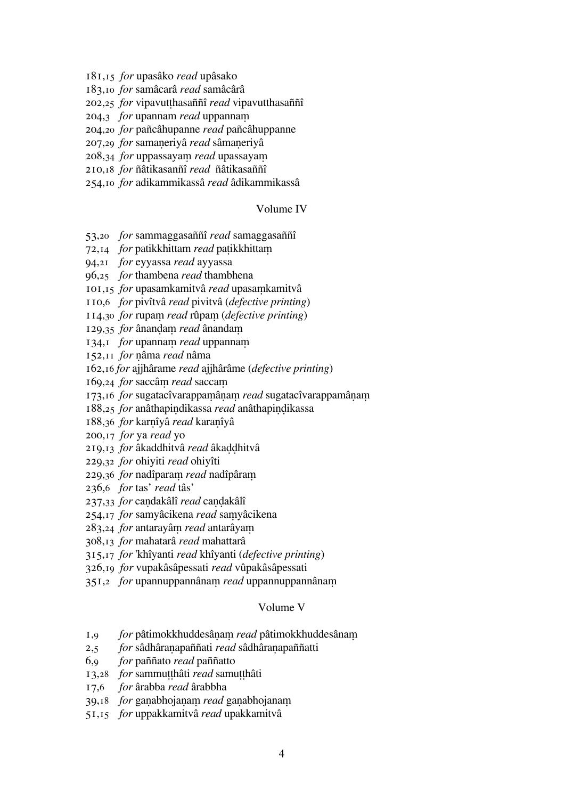,15 *for* upasâko *read* upâsako

,10 *for* samâcarâ *read* samâcârâ

,25 *for* vipavuthasaññî *read* vipavutthasaññî

,3 *for* upannam *read* uppanna

,20 *for* pañcâhupanne *read* pañcâhuppanne

,29 *for* samaeriyâ *read* sâmaeriyâ

208,34 *for* uppassayam *read* upassayam

,18 *for* ñâtikasanñî *read* ñâtikasaññî

,10 *for* adikammikassâ *read* âdikammikassâ

### Volume IV

,20 *for* sammaggasaññî *read* samaggasaññî

,14 *for* patikkhittam *read* paikkhitta

,21 *for* eyyassa *read* ayyassa

,25 *for* thambena *read* thambhena

,15 *for* upasamkamitvâ *read* upasakamitvâ

,6 *for* pivîtvâ *read* pivitvâ (*defective printing*)

114,30 *for* rupam *read* rûpam (*defective printing*)

129,35 *for* ânandam *read* ânandam

134,1 *for* upannam *read* uppannam

,11 *for* âma *read* nâma

,16 *for* ajjhârame *read* ajjhârâme (*defective printing*)

169,24 *for* saccâm *read* saccam

173,16 *for* sugatacîvarappamânam *read* sugatacîvarappamânam

,25 *for* anâthapidikassa *read* anâthapiikassa

,36 *for* karîyâ *read* karaîyâ

,17 *for* ya *read* yo

219,13 *for* âkaddhitvâ *read* âkaddhitvâ

,32 *for* ohiyiti *read* ohiyîti

229,36 *for* nadîparam *read* nadîpâram

,6 *for* tas' *read* tâs'

237,33 *for* candakâlî *read* candakâlî

254,17 *for* samyâcikena *read* samyâcikena

283,24 *for* antarayâm *read* antarâyam

,13 *for* mahatarâ *read* mahattarâ

,17 *for* 'khîyanti *read* khîyanti (*defective printing*)

,19 *for* vupakâsâpessati *read* vûpakâsâpessati

351,2 *for* upannuppannânam *read* uppannuppannânam

## Volume V

,9 *for* pâtimokkhuddesâa *read* pâtimokkhuddesâna

,5 *for* sâdhâraapaññati *read* sâdhâraapaññatti

,9 *for* paññato *read* paññatto

,28 *for* sammuhâti *read* samuhâti

,6 *for* ârabba *read* ârabbha

39,18 *for* ganabhojanam *read* ganabhojanam

,15 *for* uppakkamitvâ *read* upakkamitvâ